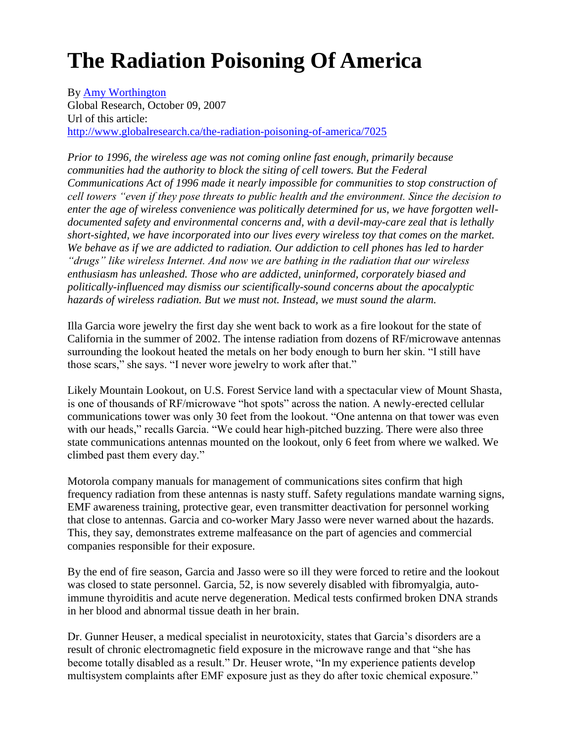# **The Radiation Poisoning Of America**

By [Amy Worthington](http://www.globalresearch.ca/author/amy-worthington) Global Research, October 09, 2007 Url of this article: <http://www.globalresearch.ca/the-radiation-poisoning-of-america/7025>

*Prior to 1996, the wireless age was not coming online fast enough, primarily because communities had the authority to block the siting of cell towers. But the Federal Communications Act of 1996 made it nearly impossible for communities to stop construction of cell towers "even if they pose threats to public health and the environment. Since the decision to enter the age of wireless convenience was politically determined for us, we have forgotten welldocumented safety and environmental concerns and, with a devil-may-care zeal that is lethally short-sighted, we have incorporated into our lives every wireless toy that comes on the market. We behave as if we are addicted to radiation. Our addiction to cell phones has led to harder "drugs" like wireless Internet. And now we are bathing in the radiation that our wireless enthusiasm has unleashed. Those who are addicted, uninformed, corporately biased and politically-influenced may dismiss our scientifically-sound concerns about the apocalyptic hazards of wireless radiation. But we must not. Instead, we must sound the alarm.*

Illa Garcia wore jewelry the first day she went back to work as a fire lookout for the state of California in the summer of 2002. The intense radiation from dozens of RF/microwave antennas surrounding the lookout heated the metals on her body enough to burn her skin. "I still have those scars," she says. "I never wore jewelry to work after that."

Likely Mountain Lookout, on U.S. Forest Service land with a spectacular view of Mount Shasta, is one of thousands of RF/microwave "hot spots" across the nation. A newly-erected cellular communications tower was only 30 feet from the lookout. "One antenna on that tower was even with our heads," recalls Garcia. "We could hear high-pitched buzzing. There were also three state communications antennas mounted on the lookout, only 6 feet from where we walked. We climbed past them every day."

Motorola company manuals for management of communications sites confirm that high frequency radiation from these antennas is nasty stuff. Safety regulations mandate warning signs, EMF awareness training, protective gear, even transmitter deactivation for personnel working that close to antennas. Garcia and co-worker Mary Jasso were never warned about the hazards. This, they say, demonstrates extreme malfeasance on the part of agencies and commercial companies responsible for their exposure.

By the end of fire season, Garcia and Jasso were so ill they were forced to retire and the lookout was closed to state personnel. Garcia, 52, is now severely disabled with fibromyalgia, autoimmune thyroiditis and acute nerve degeneration. Medical tests confirmed broken DNA strands in her blood and abnormal tissue death in her brain.

Dr. Gunner Heuser, a medical specialist in neurotoxicity, states that Garcia's disorders are a result of chronic electromagnetic field exposure in the microwave range and that "she has become totally disabled as a result." Dr. Heuser wrote, "In my experience patients develop multisystem complaints after EMF exposure just as they do after toxic chemical exposure."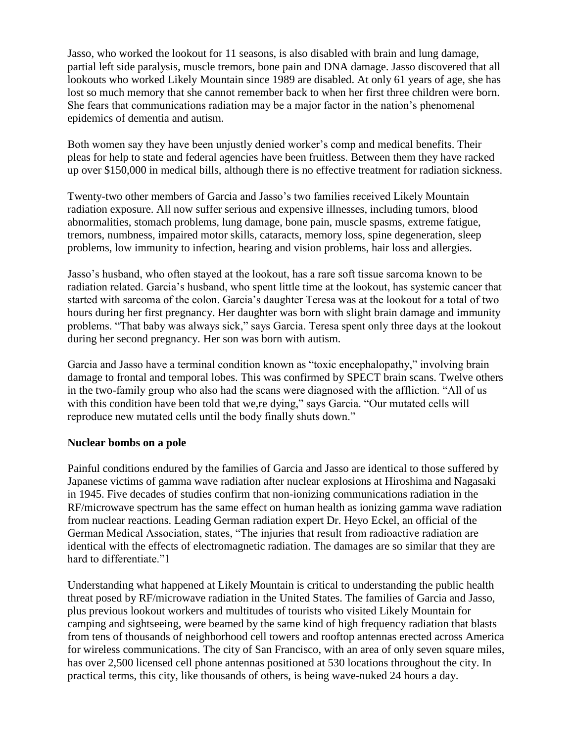Jasso, who worked the lookout for 11 seasons, is also disabled with brain and lung damage, partial left side paralysis, muscle tremors, bone pain and DNA damage. Jasso discovered that all lookouts who worked Likely Mountain since 1989 are disabled. At only 61 years of age, she has lost so much memory that she cannot remember back to when her first three children were born. She fears that communications radiation may be a major factor in the nation's phenomenal epidemics of dementia and autism.

Both women say they have been unjustly denied worker's comp and medical benefits. Their pleas for help to state and federal agencies have been fruitless. Between them they have racked up over \$150,000 in medical bills, although there is no effective treatment for radiation sickness.

Twenty-two other members of Garcia and Jasso's two families received Likely Mountain radiation exposure. All now suffer serious and expensive illnesses, including tumors, blood abnormalities, stomach problems, lung damage, bone pain, muscle spasms, extreme fatigue, tremors, numbness, impaired motor skills, cataracts, memory loss, spine degeneration, sleep problems, low immunity to infection, hearing and vision problems, hair loss and allergies.

Jasso's husband, who often stayed at the lookout, has a rare soft tissue sarcoma known to be radiation related. Garcia's husband, who spent little time at the lookout, has systemic cancer that started with sarcoma of the colon. Garcia's daughter Teresa was at the lookout for a total of two hours during her first pregnancy. Her daughter was born with slight brain damage and immunity problems. "That baby was always sick," says Garcia. Teresa spent only three days at the lookout during her second pregnancy. Her son was born with autism.

Garcia and Jasso have a terminal condition known as "toxic encephalopathy," involving brain damage to frontal and temporal lobes. This was confirmed by SPECT brain scans. Twelve others in the two-family group who also had the scans were diagnosed with the affliction. "All of us with this condition have been told that we, re dying," says Garcia. "Our mutated cells will reproduce new mutated cells until the body finally shuts down."

#### **Nuclear bombs on a pole**

Painful conditions endured by the families of Garcia and Jasso are identical to those suffered by Japanese victims of gamma wave radiation after nuclear explosions at Hiroshima and Nagasaki in 1945. Five decades of studies confirm that non-ionizing communications radiation in the RF/microwave spectrum has the same effect on human health as ionizing gamma wave radiation from nuclear reactions. Leading German radiation expert Dr. Heyo Eckel, an official of the German Medical Association, states, "The injuries that result from radioactive radiation are identical with the effects of electromagnetic radiation. The damages are so similar that they are hard to differentiate "1

Understanding what happened at Likely Mountain is critical to understanding the public health threat posed by RF/microwave radiation in the United States. The families of Garcia and Jasso, plus previous lookout workers and multitudes of tourists who visited Likely Mountain for camping and sightseeing, were beamed by the same kind of high frequency radiation that blasts from tens of thousands of neighborhood cell towers and rooftop antennas erected across America for wireless communications. The city of San Francisco, with an area of only seven square miles, has over 2,500 licensed cell phone antennas positioned at 530 locations throughout the city. In practical terms, this city, like thousands of others, is being wave-nuked 24 hours a day.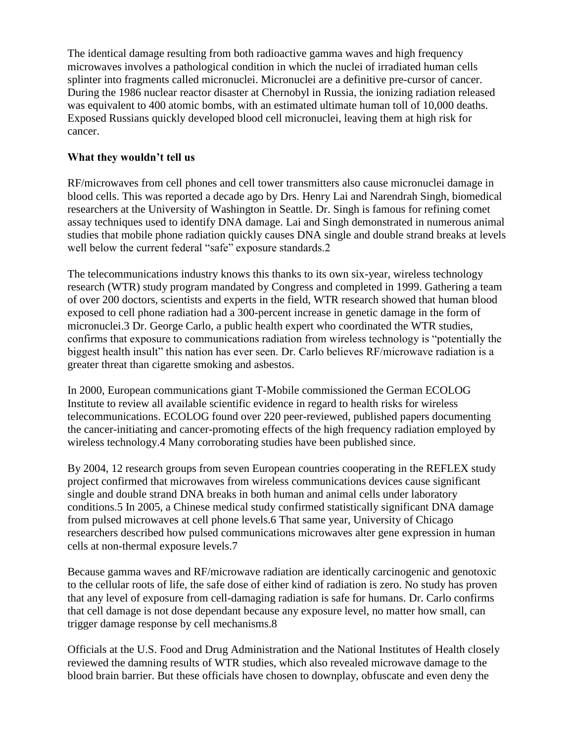The identical damage resulting from both radioactive gamma waves and high frequency microwaves involves a pathological condition in which the nuclei of irradiated human cells splinter into fragments called micronuclei. Micronuclei are a definitive pre-cursor of cancer. During the 1986 nuclear reactor disaster at Chernobyl in Russia, the ionizing radiation released was equivalent to 400 atomic bombs, with an estimated ultimate human toll of 10,000 deaths. Exposed Russians quickly developed blood cell micronuclei, leaving them at high risk for cancer.

## **What they wouldn't tell us**

RF/microwaves from cell phones and cell tower transmitters also cause micronuclei damage in blood cells. This was reported a decade ago by Drs. Henry Lai and Narendrah Singh, biomedical researchers at the University of Washington in Seattle. Dr. Singh is famous for refining comet assay techniques used to identify DNA damage. Lai and Singh demonstrated in numerous animal studies that mobile phone radiation quickly causes DNA single and double strand breaks at levels well below the current federal "safe" exposure standards.2

The telecommunications industry knows this thanks to its own six-year, wireless technology research (WTR) study program mandated by Congress and completed in 1999. Gathering a team of over 200 doctors, scientists and experts in the field, WTR research showed that human blood exposed to cell phone radiation had a 300-percent increase in genetic damage in the form of micronuclei.3 Dr. George Carlo, a public health expert who coordinated the WTR studies, confirms that exposure to communications radiation from wireless technology is "potentially the biggest health insult" this nation has ever seen. Dr. Carlo believes RF/microwave radiation is a greater threat than cigarette smoking and asbestos.

In 2000, European communications giant T-Mobile commissioned the German ECOLOG Institute to review all available scientific evidence in regard to health risks for wireless telecommunications. ECOLOG found over 220 peer-reviewed, published papers documenting the cancer-initiating and cancer-promoting effects of the high frequency radiation employed by wireless technology.4 Many corroborating studies have been published since.

By 2004, 12 research groups from seven European countries cooperating in the REFLEX study project confirmed that microwaves from wireless communications devices cause significant single and double strand DNA breaks in both human and animal cells under laboratory conditions.5 In 2005, a Chinese medical study confirmed statistically significant DNA damage from pulsed microwaves at cell phone levels.6 That same year, University of Chicago researchers described how pulsed communications microwaves alter gene expression in human cells at non-thermal exposure levels.7

Because gamma waves and RF/microwave radiation are identically carcinogenic and genotoxic to the cellular roots of life, the safe dose of either kind of radiation is zero. No study has proven that any level of exposure from cell-damaging radiation is safe for humans. Dr. Carlo confirms that cell damage is not dose dependant because any exposure level, no matter how small, can trigger damage response by cell mechanisms.8

Officials at the U.S. Food and Drug Administration and the National Institutes of Health closely reviewed the damning results of WTR studies, which also revealed microwave damage to the blood brain barrier. But these officials have chosen to downplay, obfuscate and even deny the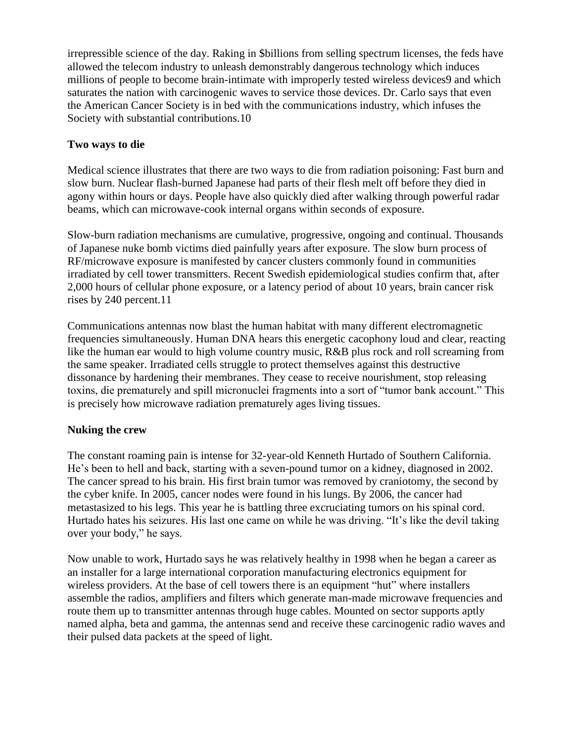irrepressible science of the day. Raking in \$billions from selling spectrum licenses, the feds have allowed the telecom industry to unleash demonstrably dangerous technology which induces millions of people to become brain-intimate with improperly tested wireless devices9 and which saturates the nation with carcinogenic waves to service those devices. Dr. Carlo says that even the American Cancer Society is in bed with the communications industry, which infuses the Society with substantial contributions.10

## **Two ways to die**

Medical science illustrates that there are two ways to die from radiation poisoning: Fast burn and slow burn. Nuclear flash-burned Japanese had parts of their flesh melt off before they died in agony within hours or days. People have also quickly died after walking through powerful radar beams, which can microwave-cook internal organs within seconds of exposure.

Slow-burn radiation mechanisms are cumulative, progressive, ongoing and continual. Thousands of Japanese nuke bomb victims died painfully years after exposure. The slow burn process of RF/microwave exposure is manifested by cancer clusters commonly found in communities irradiated by cell tower transmitters. Recent Swedish epidemiological studies confirm that, after 2,000 hours of cellular phone exposure, or a latency period of about 10 years, brain cancer risk rises by 240 percent.11

Communications antennas now blast the human habitat with many different electromagnetic frequencies simultaneously. Human DNA hears this energetic cacophony loud and clear, reacting like the human ear would to high volume country music, R&B plus rock and roll screaming from the same speaker. Irradiated cells struggle to protect themselves against this destructive dissonance by hardening their membranes. They cease to receive nourishment, stop releasing toxins, die prematurely and spill micronuclei fragments into a sort of "tumor bank account." This is precisely how microwave radiation prematurely ages living tissues.

## **Nuking the crew**

The constant roaming pain is intense for 32-year-old Kenneth Hurtado of Southern California. He's been to hell and back, starting with a seven-pound tumor on a kidney, diagnosed in 2002. The cancer spread to his brain. His first brain tumor was removed by craniotomy, the second by the cyber knife. In 2005, cancer nodes were found in his lungs. By 2006, the cancer had metastasized to his legs. This year he is battling three excruciating tumors on his spinal cord. Hurtado hates his seizures. His last one came on while he was driving. "It's like the devil taking over your body," he says.

Now unable to work, Hurtado says he was relatively healthy in 1998 when he began a career as an installer for a large international corporation manufacturing electronics equipment for wireless providers. At the base of cell towers there is an equipment "hut" where installers assemble the radios, amplifiers and filters which generate man-made microwave frequencies and route them up to transmitter antennas through huge cables. Mounted on sector supports aptly named alpha, beta and gamma, the antennas send and receive these carcinogenic radio waves and their pulsed data packets at the speed of light.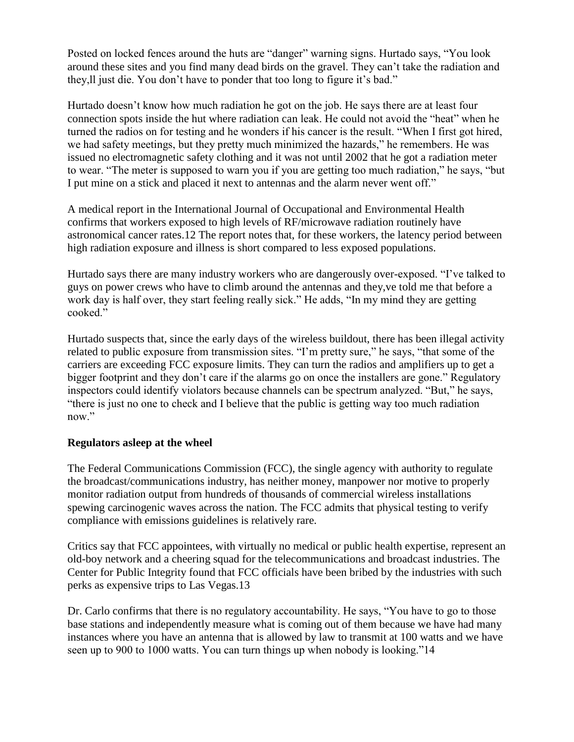Posted on locked fences around the huts are "danger" warning signs. Hurtado says, "You look around these sites and you find many dead birds on the gravel. They can't take the radiation and they,ll just die. You don't have to ponder that too long to figure it's bad."

Hurtado doesn't know how much radiation he got on the job. He says there are at least four connection spots inside the hut where radiation can leak. He could not avoid the "heat" when he turned the radios on for testing and he wonders if his cancer is the result. "When I first got hired, we had safety meetings, but they pretty much minimized the hazards," he remembers. He was issued no electromagnetic safety clothing and it was not until 2002 that he got a radiation meter to wear. "The meter is supposed to warn you if you are getting too much radiation," he says, "but I put mine on a stick and placed it next to antennas and the alarm never went off."

A medical report in the International Journal of Occupational and Environmental Health confirms that workers exposed to high levels of RF/microwave radiation routinely have astronomical cancer rates.12 The report notes that, for these workers, the latency period between high radiation exposure and illness is short compared to less exposed populations.

Hurtado says there are many industry workers who are dangerously over-exposed. "I've talked to guys on power crews who have to climb around the antennas and they,ve told me that before a work day is half over, they start feeling really sick." He adds, "In my mind they are getting cooked."

Hurtado suspects that, since the early days of the wireless buildout, there has been illegal activity related to public exposure from transmission sites. "I'm pretty sure," he says, "that some of the carriers are exceeding FCC exposure limits. They can turn the radios and amplifiers up to get a bigger footprint and they don't care if the alarms go on once the installers are gone." Regulatory inspectors could identify violators because channels can be spectrum analyzed. "But," he says, "there is just no one to check and I believe that the public is getting way too much radiation now."

## **Regulators asleep at the wheel**

The Federal Communications Commission (FCC), the single agency with authority to regulate the broadcast/communications industry, has neither money, manpower nor motive to properly monitor radiation output from hundreds of thousands of commercial wireless installations spewing carcinogenic waves across the nation. The FCC admits that physical testing to verify compliance with emissions guidelines is relatively rare.

Critics say that FCC appointees, with virtually no medical or public health expertise, represent an old-boy network and a cheering squad for the telecommunications and broadcast industries. The Center for Public Integrity found that FCC officials have been bribed by the industries with such perks as expensive trips to Las Vegas.13

Dr. Carlo confirms that there is no regulatory accountability. He says, "You have to go to those base stations and independently measure what is coming out of them because we have had many instances where you have an antenna that is allowed by law to transmit at 100 watts and we have seen up to 900 to 1000 watts. You can turn things up when nobody is looking."14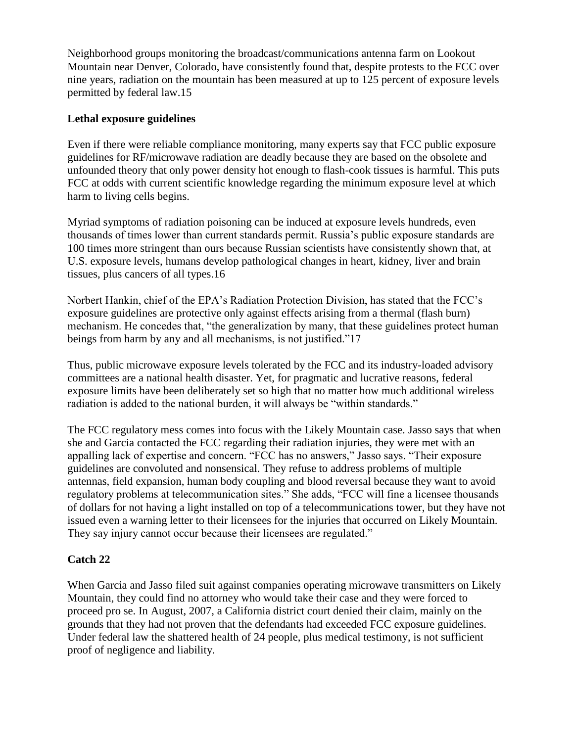Neighborhood groups monitoring the broadcast/communications antenna farm on Lookout Mountain near Denver, Colorado, have consistently found that, despite protests to the FCC over nine years, radiation on the mountain has been measured at up to 125 percent of exposure levels permitted by federal law.15

## **Lethal exposure guidelines**

Even if there were reliable compliance monitoring, many experts say that FCC public exposure guidelines for RF/microwave radiation are deadly because they are based on the obsolete and unfounded theory that only power density hot enough to flash-cook tissues is harmful. This puts FCC at odds with current scientific knowledge regarding the minimum exposure level at which harm to living cells begins.

Myriad symptoms of radiation poisoning can be induced at exposure levels hundreds, even thousands of times lower than current standards permit. Russia's public exposure standards are 100 times more stringent than ours because Russian scientists have consistently shown that, at U.S. exposure levels, humans develop pathological changes in heart, kidney, liver and brain tissues, plus cancers of all types.16

Norbert Hankin, chief of the EPA's Radiation Protection Division, has stated that the FCC's exposure guidelines are protective only against effects arising from a thermal (flash burn) mechanism. He concedes that, "the generalization by many, that these guidelines protect human beings from harm by any and all mechanisms, is not justified."17

Thus, public microwave exposure levels tolerated by the FCC and its industry-loaded advisory committees are a national health disaster. Yet, for pragmatic and lucrative reasons, federal exposure limits have been deliberately set so high that no matter how much additional wireless radiation is added to the national burden, it will always be "within standards."

The FCC regulatory mess comes into focus with the Likely Mountain case. Jasso says that when she and Garcia contacted the FCC regarding their radiation injuries, they were met with an appalling lack of expertise and concern. "FCC has no answers," Jasso says. "Their exposure guidelines are convoluted and nonsensical. They refuse to address problems of multiple antennas, field expansion, human body coupling and blood reversal because they want to avoid regulatory problems at telecommunication sites." She adds, "FCC will fine a licensee thousands of dollars for not having a light installed on top of a telecommunications tower, but they have not issued even a warning letter to their licensees for the injuries that occurred on Likely Mountain. They say injury cannot occur because their licensees are regulated."

#### **Catch 22**

When Garcia and Jasso filed suit against companies operating microwave transmitters on Likely Mountain, they could find no attorney who would take their case and they were forced to proceed pro se. In August, 2007, a California district court denied their claim, mainly on the grounds that they had not proven that the defendants had exceeded FCC exposure guidelines. Under federal law the shattered health of 24 people, plus medical testimony, is not sufficient proof of negligence and liability.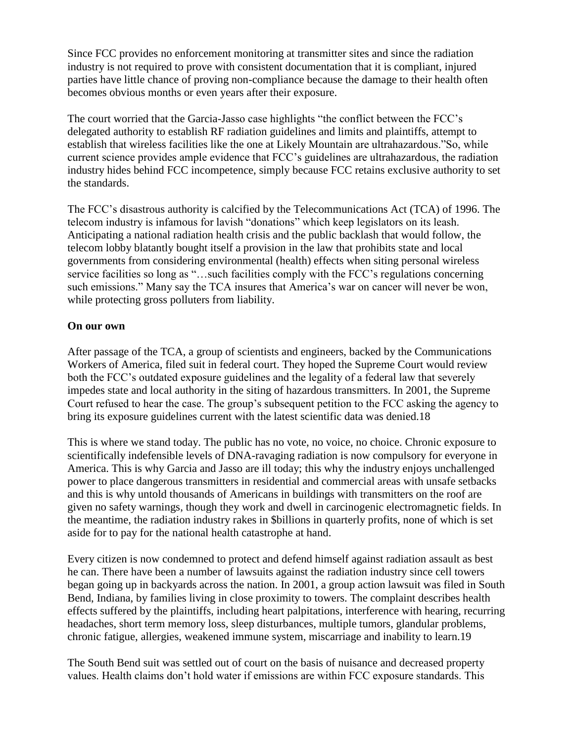Since FCC provides no enforcement monitoring at transmitter sites and since the radiation industry is not required to prove with consistent documentation that it is compliant, injured parties have little chance of proving non-compliance because the damage to their health often becomes obvious months or even years after their exposure.

The court worried that the Garcia-Jasso case highlights "the conflict between the FCC's delegated authority to establish RF radiation guidelines and limits and plaintiffs, attempt to establish that wireless facilities like the one at Likely Mountain are ultrahazardous."So, while current science provides ample evidence that FCC's guidelines are ultrahazardous, the radiation industry hides behind FCC incompetence, simply because FCC retains exclusive authority to set the standards.

The FCC's disastrous authority is calcified by the Telecommunications Act (TCA) of 1996. The telecom industry is infamous for lavish "donations" which keep legislators on its leash. Anticipating a national radiation health crisis and the public backlash that would follow, the telecom lobby blatantly bought itself a provision in the law that prohibits state and local governments from considering environmental (health) effects when siting personal wireless service facilities so long as "…such facilities comply with the FCC's regulations concerning such emissions." Many say the TCA insures that America's war on cancer will never be won, while protecting gross polluters from liability.

### **On our own**

After passage of the TCA, a group of scientists and engineers, backed by the Communications Workers of America, filed suit in federal court. They hoped the Supreme Court would review both the FCC's outdated exposure guidelines and the legality of a federal law that severely impedes state and local authority in the siting of hazardous transmitters. In 2001, the Supreme Court refused to hear the case. The group's subsequent petition to the FCC asking the agency to bring its exposure guidelines current with the latest scientific data was denied.18

This is where we stand today. The public has no vote, no voice, no choice. Chronic exposure to scientifically indefensible levels of DNA-ravaging radiation is now compulsory for everyone in America. This is why Garcia and Jasso are ill today; this why the industry enjoys unchallenged power to place dangerous transmitters in residential and commercial areas with unsafe setbacks and this is why untold thousands of Americans in buildings with transmitters on the roof are given no safety warnings, though they work and dwell in carcinogenic electromagnetic fields. In the meantime, the radiation industry rakes in \$billions in quarterly profits, none of which is set aside for to pay for the national health catastrophe at hand.

Every citizen is now condemned to protect and defend himself against radiation assault as best he can. There have been a number of lawsuits against the radiation industry since cell towers began going up in backyards across the nation. In 2001, a group action lawsuit was filed in South Bend, Indiana, by families living in close proximity to towers. The complaint describes health effects suffered by the plaintiffs, including heart palpitations, interference with hearing, recurring headaches, short term memory loss, sleep disturbances, multiple tumors, glandular problems, chronic fatigue, allergies, weakened immune system, miscarriage and inability to learn.19

The South Bend suit was settled out of court on the basis of nuisance and decreased property values. Health claims don't hold water if emissions are within FCC exposure standards. This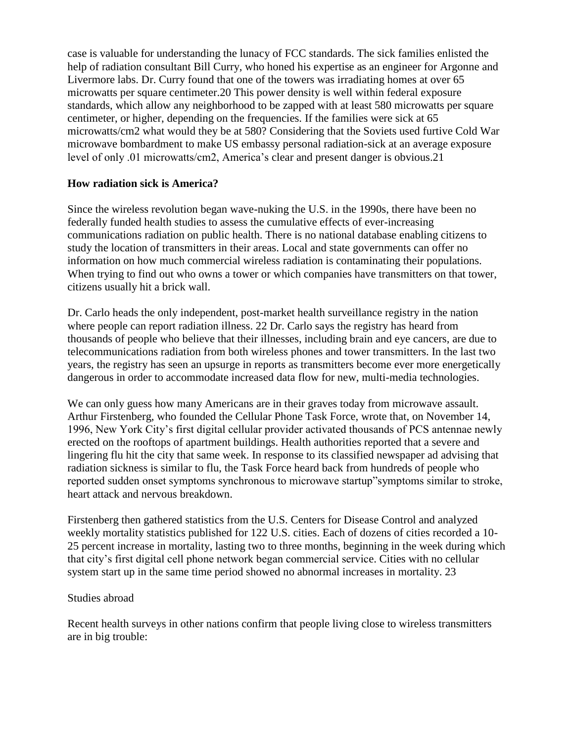case is valuable for understanding the lunacy of FCC standards. The sick families enlisted the help of radiation consultant Bill Curry, who honed his expertise as an engineer for Argonne and Livermore labs. Dr. Curry found that one of the towers was irradiating homes at over 65 microwatts per square centimeter.20 This power density is well within federal exposure standards, which allow any neighborhood to be zapped with at least 580 microwatts per square centimeter, or higher, depending on the frequencies. If the families were sick at 65 microwatts/cm2 what would they be at 580? Considering that the Soviets used furtive Cold War microwave bombardment to make US embassy personal radiation-sick at an average exposure level of only .01 microwatts/cm2, America's clear and present danger is obvious.21

## **How radiation sick is America?**

Since the wireless revolution began wave-nuking the U.S. in the 1990s, there have been no federally funded health studies to assess the cumulative effects of ever-increasing communications radiation on public health. There is no national database enabling citizens to study the location of transmitters in their areas. Local and state governments can offer no information on how much commercial wireless radiation is contaminating their populations. When trying to find out who owns a tower or which companies have transmitters on that tower, citizens usually hit a brick wall.

Dr. Carlo heads the only independent, post-market health surveillance registry in the nation where people can report radiation illness. 22 Dr. Carlo says the registry has heard from thousands of people who believe that their illnesses, including brain and eye cancers, are due to telecommunications radiation from both wireless phones and tower transmitters. In the last two years, the registry has seen an upsurge in reports as transmitters become ever more energetically dangerous in order to accommodate increased data flow for new, multi-media technologies.

We can only guess how many Americans are in their graves today from microwave assault. Arthur Firstenberg, who founded the Cellular Phone Task Force, wrote that, on November 14, 1996, New York City's first digital cellular provider activated thousands of PCS antennae newly erected on the rooftops of apartment buildings. Health authorities reported that a severe and lingering flu hit the city that same week. In response to its classified newspaper ad advising that radiation sickness is similar to flu, the Task Force heard back from hundreds of people who reported sudden onset symptoms synchronous to microwave startup"symptoms similar to stroke, heart attack and nervous breakdown.

Firstenberg then gathered statistics from the U.S. Centers for Disease Control and analyzed weekly mortality statistics published for 122 U.S. cities. Each of dozens of cities recorded a 10- 25 percent increase in mortality, lasting two to three months, beginning in the week during which that city's first digital cell phone network began commercial service. Cities with no cellular system start up in the same time period showed no abnormal increases in mortality. 23

#### Studies abroad

Recent health surveys in other nations confirm that people living close to wireless transmitters are in big trouble: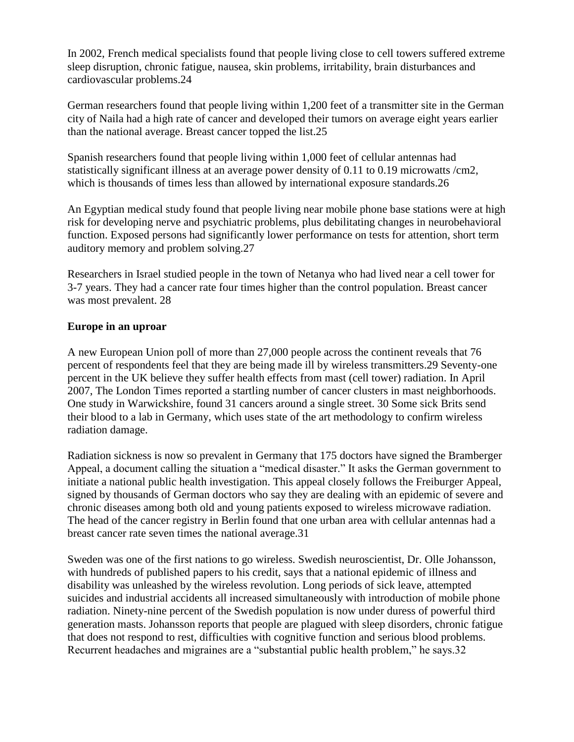In 2002, French medical specialists found that people living close to cell towers suffered extreme sleep disruption, chronic fatigue, nausea, skin problems, irritability, brain disturbances and cardiovascular problems.24

German researchers found that people living within 1,200 feet of a transmitter site in the German city of Naila had a high rate of cancer and developed their tumors on average eight years earlier than the national average. Breast cancer topped the list.25

Spanish researchers found that people living within 1,000 feet of cellular antennas had statistically significant illness at an average power density of 0.11 to 0.19 microwatts /cm2, which is thousands of times less than allowed by international exposure standards.26

An Egyptian medical study found that people living near mobile phone base stations were at high risk for developing nerve and psychiatric problems, plus debilitating changes in neurobehavioral function. Exposed persons had significantly lower performance on tests for attention, short term auditory memory and problem solving.27

Researchers in Israel studied people in the town of Netanya who had lived near a cell tower for 3-7 years. They had a cancer rate four times higher than the control population. Breast cancer was most prevalent. 28

### **Europe in an uproar**

A new European Union poll of more than 27,000 people across the continent reveals that 76 percent of respondents feel that they are being made ill by wireless transmitters.29 Seventy-one percent in the UK believe they suffer health effects from mast (cell tower) radiation. In April 2007, The London Times reported a startling number of cancer clusters in mast neighborhoods. One study in Warwickshire, found 31 cancers around a single street. 30 Some sick Brits send their blood to a lab in Germany, which uses state of the art methodology to confirm wireless radiation damage.

Radiation sickness is now so prevalent in Germany that 175 doctors have signed the Bramberger Appeal, a document calling the situation a "medical disaster." It asks the German government to initiate a national public health investigation. This appeal closely follows the Freiburger Appeal, signed by thousands of German doctors who say they are dealing with an epidemic of severe and chronic diseases among both old and young patients exposed to wireless microwave radiation. The head of the cancer registry in Berlin found that one urban area with cellular antennas had a breast cancer rate seven times the national average.31

Sweden was one of the first nations to go wireless. Swedish neuroscientist, Dr. Olle Johansson, with hundreds of published papers to his credit, says that a national epidemic of illness and disability was unleashed by the wireless revolution. Long periods of sick leave, attempted suicides and industrial accidents all increased simultaneously with introduction of mobile phone radiation. Ninety-nine percent of the Swedish population is now under duress of powerful third generation masts. Johansson reports that people are plagued with sleep disorders, chronic fatigue that does not respond to rest, difficulties with cognitive function and serious blood problems. Recurrent headaches and migraines are a "substantial public health problem," he says.32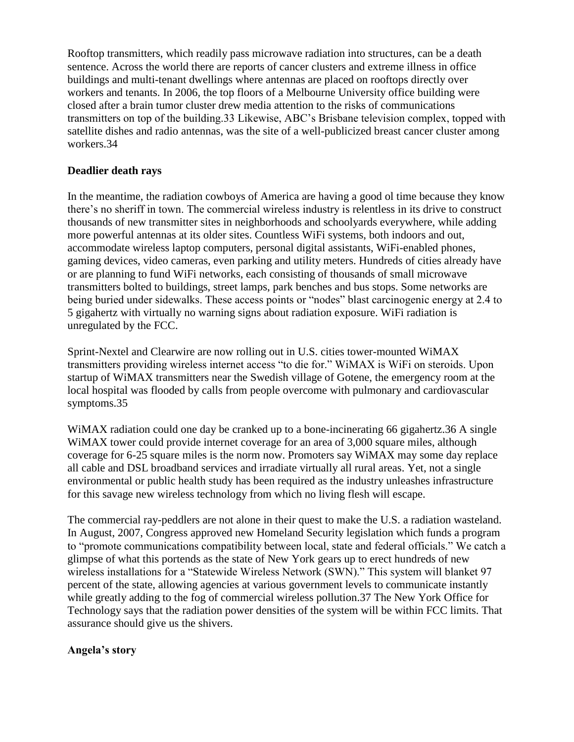Rooftop transmitters, which readily pass microwave radiation into structures, can be a death sentence. Across the world there are reports of cancer clusters and extreme illness in office buildings and multi-tenant dwellings where antennas are placed on rooftops directly over workers and tenants. In 2006, the top floors of a Melbourne University office building were closed after a brain tumor cluster drew media attention to the risks of communications transmitters on top of the building.33 Likewise, ABC's Brisbane television complex, topped with satellite dishes and radio antennas, was the site of a well-publicized breast cancer cluster among workers.34

## **Deadlier death rays**

In the meantime, the radiation cowboys of America are having a good ol time because they know there's no sheriff in town. The commercial wireless industry is relentless in its drive to construct thousands of new transmitter sites in neighborhoods and schoolyards everywhere, while adding more powerful antennas at its older sites. Countless WiFi systems, both indoors and out, accommodate wireless laptop computers, personal digital assistants, WiFi-enabled phones, gaming devices, video cameras, even parking and utility meters. Hundreds of cities already have or are planning to fund WiFi networks, each consisting of thousands of small microwave transmitters bolted to buildings, street lamps, park benches and bus stops. Some networks are being buried under sidewalks. These access points or "nodes" blast carcinogenic energy at 2.4 to 5 gigahertz with virtually no warning signs about radiation exposure. WiFi radiation is unregulated by the FCC.

Sprint-Nextel and Clearwire are now rolling out in U.S. cities tower-mounted WiMAX transmitters providing wireless internet access "to die for." WiMAX is WiFi on steroids. Upon startup of WiMAX transmitters near the Swedish village of Gotene, the emergency room at the local hospital was flooded by calls from people overcome with pulmonary and cardiovascular symptoms.35

WiMAX radiation could one day be cranked up to a bone-incinerating 66 gigahertz.36 A single WiMAX tower could provide internet coverage for an area of 3,000 square miles, although coverage for 6-25 square miles is the norm now. Promoters say WiMAX may some day replace all cable and DSL broadband services and irradiate virtually all rural areas. Yet, not a single environmental or public health study has been required as the industry unleashes infrastructure for this savage new wireless technology from which no living flesh will escape.

The commercial ray-peddlers are not alone in their quest to make the U.S. a radiation wasteland. In August, 2007, Congress approved new Homeland Security legislation which funds a program to "promote communications compatibility between local, state and federal officials." We catch a glimpse of what this portends as the state of New York gears up to erect hundreds of new wireless installations for a "Statewide Wireless Network (SWN)." This system will blanket 97 percent of the state, allowing agencies at various government levels to communicate instantly while greatly adding to the fog of commercial wireless pollution.37 The New York Office for Technology says that the radiation power densities of the system will be within FCC limits. That assurance should give us the shivers.

## **Angela's story**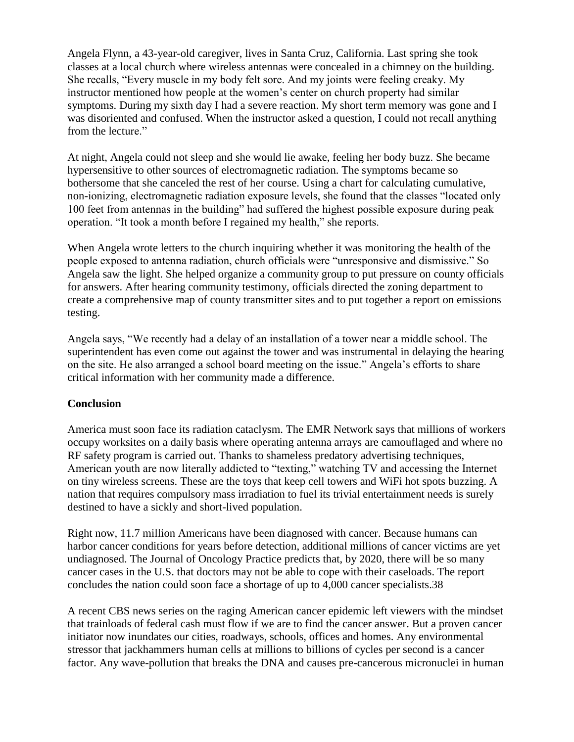Angela Flynn, a 43-year-old caregiver, lives in Santa Cruz, California. Last spring she took classes at a local church where wireless antennas were concealed in a chimney on the building. She recalls, "Every muscle in my body felt sore. And my joints were feeling creaky. My instructor mentioned how people at the women's center on church property had similar symptoms. During my sixth day I had a severe reaction. My short term memory was gone and I was disoriented and confused. When the instructor asked a question, I could not recall anything from the lecture."

At night, Angela could not sleep and she would lie awake, feeling her body buzz. She became hypersensitive to other sources of electromagnetic radiation. The symptoms became so bothersome that she canceled the rest of her course. Using a chart for calculating cumulative, non-ionizing, electromagnetic radiation exposure levels, she found that the classes "located only 100 feet from antennas in the building" had suffered the highest possible exposure during peak operation. "It took a month before I regained my health," she reports.

When Angela wrote letters to the church inquiring whether it was monitoring the health of the people exposed to antenna radiation, church officials were "unresponsive and dismissive." So Angela saw the light. She helped organize a community group to put pressure on county officials for answers. After hearing community testimony, officials directed the zoning department to create a comprehensive map of county transmitter sites and to put together a report on emissions testing.

Angela says, "We recently had a delay of an installation of a tower near a middle school. The superintendent has even come out against the tower and was instrumental in delaying the hearing on the site. He also arranged a school board meeting on the issue." Angela's efforts to share critical information with her community made a difference.

#### **Conclusion**

America must soon face its radiation cataclysm. The EMR Network says that millions of workers occupy worksites on a daily basis where operating antenna arrays are camouflaged and where no RF safety program is carried out. Thanks to shameless predatory advertising techniques, American youth are now literally addicted to "texting," watching TV and accessing the Internet on tiny wireless screens. These are the toys that keep cell towers and WiFi hot spots buzzing. A nation that requires compulsory mass irradiation to fuel its trivial entertainment needs is surely destined to have a sickly and short-lived population.

Right now, 11.7 million Americans have been diagnosed with cancer. Because humans can harbor cancer conditions for years before detection, additional millions of cancer victims are yet undiagnosed. The Journal of Oncology Practice predicts that, by 2020, there will be so many cancer cases in the U.S. that doctors may not be able to cope with their caseloads. The report concludes the nation could soon face a shortage of up to 4,000 cancer specialists.38

A recent CBS news series on the raging American cancer epidemic left viewers with the mindset that trainloads of federal cash must flow if we are to find the cancer answer. But a proven cancer initiator now inundates our cities, roadways, schools, offices and homes. Any environmental stressor that jackhammers human cells at millions to billions of cycles per second is a cancer factor. Any wave-pollution that breaks the DNA and causes pre-cancerous micronuclei in human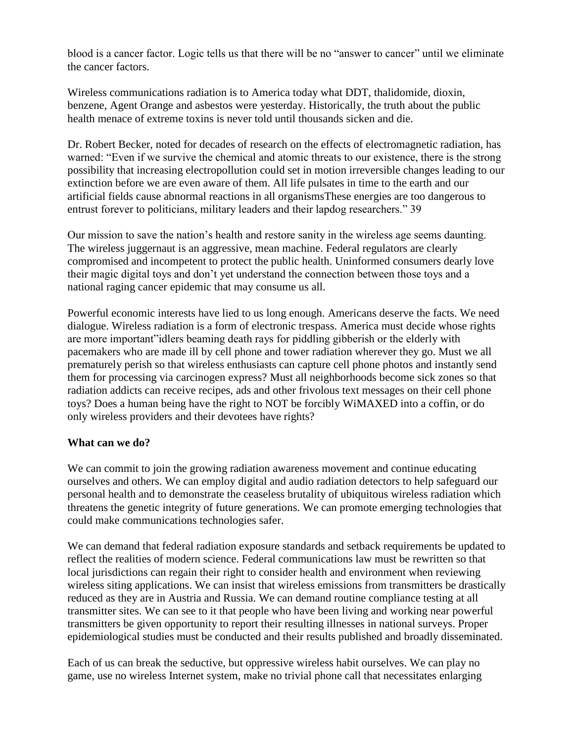blood is a cancer factor. Logic tells us that there will be no "answer to cancer" until we eliminate the cancer factors.

Wireless communications radiation is to America today what DDT, thalidomide, dioxin, benzene, Agent Orange and asbestos were yesterday. Historically, the truth about the public health menace of extreme toxins is never told until thousands sicken and die.

Dr. Robert Becker, noted for decades of research on the effects of electromagnetic radiation, has warned: "Even if we survive the chemical and atomic threats to our existence, there is the strong possibility that increasing electropollution could set in motion irreversible changes leading to our extinction before we are even aware of them. All life pulsates in time to the earth and our artificial fields cause abnormal reactions in all organismsThese energies are too dangerous to entrust forever to politicians, military leaders and their lapdog researchers." 39

Our mission to save the nation's health and restore sanity in the wireless age seems daunting. The wireless juggernaut is an aggressive, mean machine. Federal regulators are clearly compromised and incompetent to protect the public health. Uninformed consumers dearly love their magic digital toys and don't yet understand the connection between those toys and a national raging cancer epidemic that may consume us all.

Powerful economic interests have lied to us long enough. Americans deserve the facts. We need dialogue. Wireless radiation is a form of electronic trespass. America must decide whose rights are more important"idlers beaming death rays for piddling gibberish or the elderly with pacemakers who are made ill by cell phone and tower radiation wherever they go. Must we all prematurely perish so that wireless enthusiasts can capture cell phone photos and instantly send them for processing via carcinogen express? Must all neighborhoods become sick zones so that radiation addicts can receive recipes, ads and other frivolous text messages on their cell phone toys? Does a human being have the right to NOT be forcibly WiMAXED into a coffin, or do only wireless providers and their devotees have rights?

## **What can we do?**

We can commit to join the growing radiation awareness movement and continue educating ourselves and others. We can employ digital and audio radiation detectors to help safeguard our personal health and to demonstrate the ceaseless brutality of ubiquitous wireless radiation which threatens the genetic integrity of future generations. We can promote emerging technologies that could make communications technologies safer.

We can demand that federal radiation exposure standards and setback requirements be updated to reflect the realities of modern science. Federal communications law must be rewritten so that local jurisdictions can regain their right to consider health and environment when reviewing wireless siting applications. We can insist that wireless emissions from transmitters be drastically reduced as they are in Austria and Russia. We can demand routine compliance testing at all transmitter sites. We can see to it that people who have been living and working near powerful transmitters be given opportunity to report their resulting illnesses in national surveys. Proper epidemiological studies must be conducted and their results published and broadly disseminated.

Each of us can break the seductive, but oppressive wireless habit ourselves. We can play no game, use no wireless Internet system, make no trivial phone call that necessitates enlarging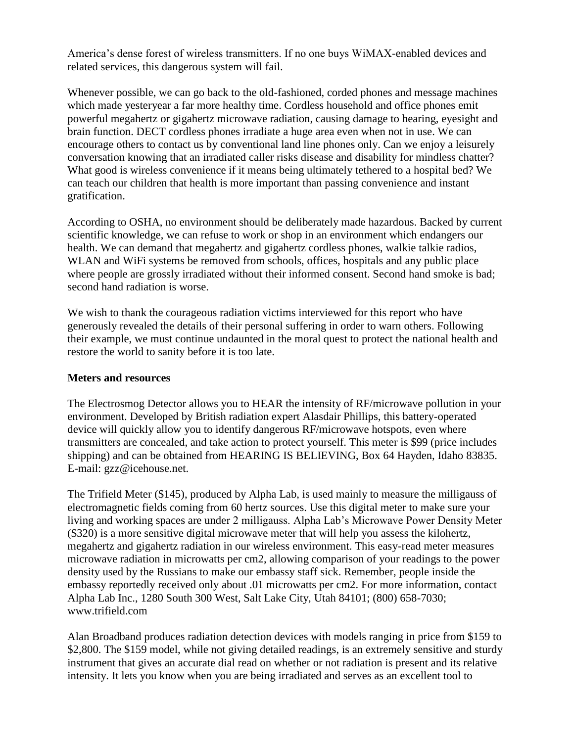America's dense forest of wireless transmitters. If no one buys WiMAX-enabled devices and related services, this dangerous system will fail.

Whenever possible, we can go back to the old-fashioned, corded phones and message machines which made yesteryear a far more healthy time. Cordless household and office phones emit powerful megahertz or gigahertz microwave radiation, causing damage to hearing, eyesight and brain function. DECT cordless phones irradiate a huge area even when not in use. We can encourage others to contact us by conventional land line phones only. Can we enjoy a leisurely conversation knowing that an irradiated caller risks disease and disability for mindless chatter? What good is wireless convenience if it means being ultimately tethered to a hospital bed? We can teach our children that health is more important than passing convenience and instant gratification.

According to OSHA, no environment should be deliberately made hazardous. Backed by current scientific knowledge, we can refuse to work or shop in an environment which endangers our health. We can demand that megahertz and gigahertz cordless phones, walkie talkie radios, WLAN and WiFi systems be removed from schools, offices, hospitals and any public place where people are grossly irradiated without their informed consent. Second hand smoke is bad; second hand radiation is worse.

We wish to thank the courageous radiation victims interviewed for this report who have generously revealed the details of their personal suffering in order to warn others. Following their example, we must continue undaunted in the moral quest to protect the national health and restore the world to sanity before it is too late.

#### **Meters and resources**

The Electrosmog Detector allows you to HEAR the intensity of RF/microwave pollution in your environment. Developed by British radiation expert Alasdair Phillips, this battery-operated device will quickly allow you to identify dangerous RF/microwave hotspots, even where transmitters are concealed, and take action to protect yourself. This meter is \$99 (price includes shipping) and can be obtained from HEARING IS BELIEVING, Box 64 Hayden, Idaho 83835. E-mail: gzz@icehouse.net.

The Trifield Meter (\$145), produced by Alpha Lab, is used mainly to measure the milligauss of electromagnetic fields coming from 60 hertz sources. Use this digital meter to make sure your living and working spaces are under 2 milligauss. Alpha Lab's Microwave Power Density Meter (\$320) is a more sensitive digital microwave meter that will help you assess the kilohertz, megahertz and gigahertz radiation in our wireless environment. This easy-read meter measures microwave radiation in microwatts per cm2, allowing comparison of your readings to the power density used by the Russians to make our embassy staff sick. Remember, people inside the embassy reportedly received only about .01 microwatts per cm2. For more information, contact Alpha Lab Inc., 1280 South 300 West, Salt Lake City, Utah 84101; (800) 658-7030; www.trifield.com

Alan Broadband produces radiation detection devices with models ranging in price from \$159 to \$2,800. The \$159 model, while not giving detailed readings, is an extremely sensitive and sturdy instrument that gives an accurate dial read on whether or not radiation is present and its relative intensity. It lets you know when you are being irradiated and serves as an excellent tool to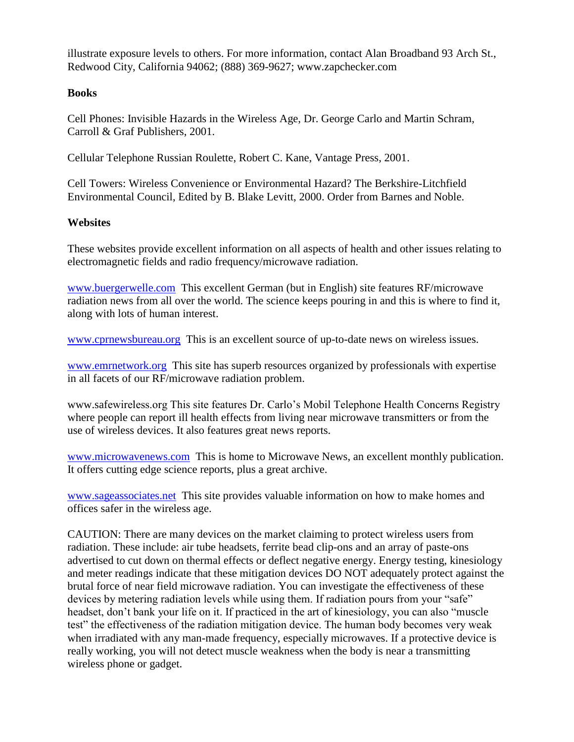illustrate exposure levels to others. For more information, contact Alan Broadband 93 Arch St., Redwood City, California 94062; (888) 369-9627; www.zapchecker.com

## **Books**

Cell Phones: Invisible Hazards in the Wireless Age, Dr. George Carlo and Martin Schram, Carroll & Graf Publishers, 2001.

Cellular Telephone Russian Roulette, Robert C. Kane, Vantage Press, 2001.

Cell Towers: Wireless Convenience or Environmental Hazard? The Berkshire-Litchfield Environmental Council, Edited by B. Blake Levitt, 2000. Order from Barnes and Noble.

### **Websites**

These websites provide excellent information on all aspects of health and other issues relating to electromagnetic fields and radio frequency/microwave radiation.

[www.buergerwelle.com](http://www.buergerwelle.com/) This excellent German (but in English) site features RF/microwave radiation news from all over the world. The science keeps pouring in and this is where to find it, along with lots of human interest.

[www.cprnewsbureau.org](http://www.cprnewsbureau.org/) This is an excellent source of up-to-date news on wireless issues.

[www.emrnetwork.org](http://www.emrnetwork.org/) This site has superb resources organized by professionals with expertise in all facets of our RF/microwave radiation problem.

www.safewireless.org This site features Dr. Carlo's Mobil Telephone Health Concerns Registry where people can report ill health effects from living near microwave transmitters or from the use of wireless devices. It also features great news reports.

[www.microwavenews.com](http://www.microwavenews.com/) This is home to Microwave News, an excellent monthly publication. It offers cutting edge science reports, plus a great archive.

[www.sageassociates.net](http://www.sageassociates.net/) This site provides valuable information on how to make homes and offices safer in the wireless age.

CAUTION: There are many devices on the market claiming to protect wireless users from radiation. These include: air tube headsets, ferrite bead clip-ons and an array of paste-ons advertised to cut down on thermal effects or deflect negative energy. Energy testing, kinesiology and meter readings indicate that these mitigation devices DO NOT adequately protect against the brutal force of near field microwave radiation. You can investigate the effectiveness of these devices by metering radiation levels while using them. If radiation pours from your "safe" headset, don't bank your life on it. If practiced in the art of kinesiology, you can also "muscle test" the effectiveness of the radiation mitigation device. The human body becomes very weak when irradiated with any man-made frequency, especially microwaves. If a protective device is really working, you will not detect muscle weakness when the body is near a transmitting wireless phone or gadget.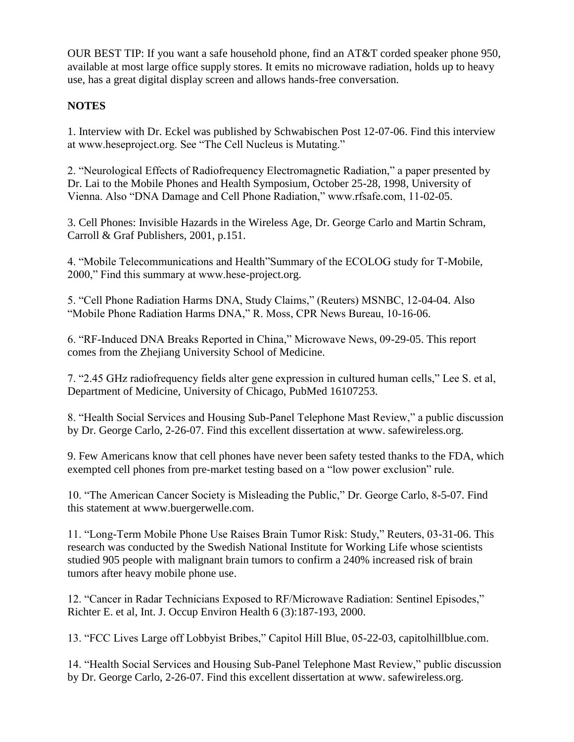OUR BEST TIP: If you want a safe household phone, find an AT&T corded speaker phone 950, available at most large office supply stores. It emits no microwave radiation, holds up to heavy use, has a great digital display screen and allows hands-free conversation.

## **NOTES**

1. Interview with Dr. Eckel was published by Schwabischen Post 12-07-06. Find this interview at www.heseproject.org. See "The Cell Nucleus is Mutating."

2. "Neurological Effects of Radiofrequency Electromagnetic Radiation," a paper presented by Dr. Lai to the Mobile Phones and Health Symposium, October 25-28, 1998, University of Vienna. Also "DNA Damage and Cell Phone Radiation," www.rfsafe.com, 11-02-05.

3. Cell Phones: Invisible Hazards in the Wireless Age, Dr. George Carlo and Martin Schram, Carroll & Graf Publishers, 2001, p.151.

4. "Mobile Telecommunications and Health"Summary of the ECOLOG study for T-Mobile, 2000," Find this summary at www.hese-project.org.

5. "Cell Phone Radiation Harms DNA, Study Claims," (Reuters) MSNBC, 12-04-04. Also "Mobile Phone Radiation Harms DNA," R. Moss, CPR News Bureau, 10-16-06.

6. "RF-Induced DNA Breaks Reported in China," Microwave News, 09-29-05. This report comes from the Zhejiang University School of Medicine.

7. "2.45 GHz radiofrequency fields alter gene expression in cultured human cells," Lee S. et al, Department of Medicine, University of Chicago, PubMed 16107253.

8. "Health Social Services and Housing Sub-Panel Telephone Mast Review," a public discussion by Dr. George Carlo, 2-26-07. Find this excellent dissertation at www. safewireless.org.

9. Few Americans know that cell phones have never been safety tested thanks to the FDA, which exempted cell phones from pre-market testing based on a "low power exclusion" rule.

10. "The American Cancer Society is Misleading the Public," Dr. George Carlo, 8-5-07. Find this statement at www.buergerwelle.com.

11. "Long-Term Mobile Phone Use Raises Brain Tumor Risk: Study," Reuters, 03-31-06. This research was conducted by the Swedish National Institute for Working Life whose scientists studied 905 people with malignant brain tumors to confirm a 240% increased risk of brain tumors after heavy mobile phone use.

12. "Cancer in Radar Technicians Exposed to RF/Microwave Radiation: Sentinel Episodes," Richter E. et al, Int. J. Occup Environ Health 6 (3):187-193, 2000.

13. "FCC Lives Large off Lobbyist Bribes," Capitol Hill Blue, 05-22-03, capitolhillblue.com.

14. "Health Social Services and Housing Sub-Panel Telephone Mast Review," public discussion by Dr. George Carlo, 2-26-07. Find this excellent dissertation at www. safewireless.org.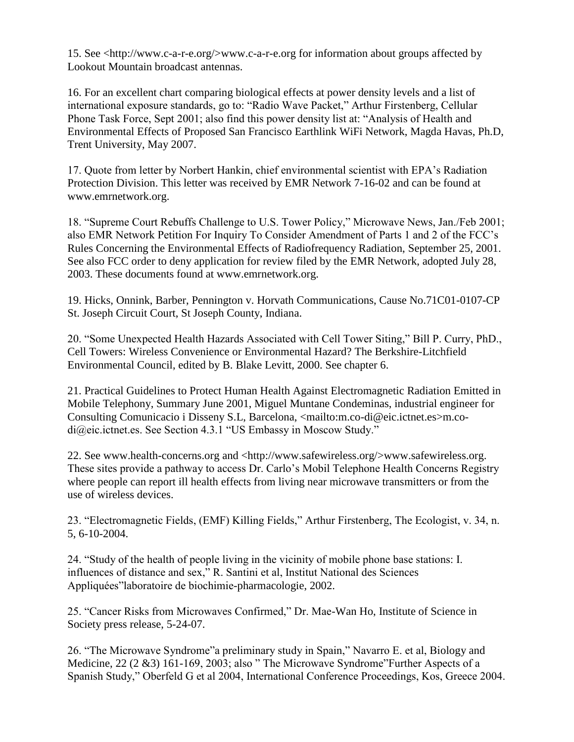15. See <http://www.c-a-r-e.org/>www.c-a-r-e.org for information about groups affected by Lookout Mountain broadcast antennas.

16. For an excellent chart comparing biological effects at power density levels and a list of international exposure standards, go to: "Radio Wave Packet," Arthur Firstenberg, Cellular Phone Task Force, Sept 2001; also find this power density list at: "Analysis of Health and Environmental Effects of Proposed San Francisco Earthlink WiFi Network, Magda Havas, Ph.D, Trent University, May 2007.

17. Quote from letter by Norbert Hankin, chief environmental scientist with EPA's Radiation Protection Division. This letter was received by EMR Network 7-16-02 and can be found at www.emrnetwork.org.

18. "Supreme Court Rebuffs Challenge to U.S. Tower Policy," Microwave News, Jan./Feb 2001; also EMR Network Petition For Inquiry To Consider Amendment of Parts 1 and 2 of the FCC's Rules Concerning the Environmental Effects of Radiofrequency Radiation, September 25, 2001. See also FCC order to deny application for review filed by the EMR Network, adopted July 28, 2003. These documents found at www.emrnetwork.org.

19. Hicks, Onnink, Barber, Pennington v. Horvath Communications, Cause No.71C01-0107-CP St. Joseph Circuit Court, St Joseph County, Indiana.

20. "Some Unexpected Health Hazards Associated with Cell Tower Siting," Bill P. Curry, PhD., Cell Towers: Wireless Convenience or Environmental Hazard? The Berkshire-Litchfield Environmental Council, edited by B. Blake Levitt, 2000. See chapter 6.

21. Practical Guidelines to Protect Human Health Against Electromagnetic Radiation Emitted in Mobile Telephony, Summary June 2001, Miguel Muntane Condeminas, industrial engineer for Consulting Comunicacio i Disseny S.L, Barcelona, <mailto:m.co-di@eic.ictnet.es>m.codi@eic.ictnet.es. See Section 4.3.1 "US Embassy in Moscow Study."

22. See www.health-concerns.org and <http://www.safewireless.org/>www.safewireless.org. These sites provide a pathway to access Dr. Carlo's Mobil Telephone Health Concerns Registry where people can report ill health effects from living near microwave transmitters or from the use of wireless devices.

23. "Electromagnetic Fields, (EMF) Killing Fields," Arthur Firstenberg, The Ecologist, v. 34, n. 5, 6-10-2004.

24. "Study of the health of people living in the vicinity of mobile phone base stations: I. influences of distance and sex," R. Santini et al, Institut National des Sciences Appliquées"laboratoire de biochimie-pharmacologie, 2002.

25. "Cancer Risks from Microwaves Confirmed," Dr. Mae-Wan Ho, Institute of Science in Society press release, 5-24-07.

26. "The Microwave Syndrome"a preliminary study in Spain," Navarro E. et al, Biology and Medicine, 22 (2 &3) 161-169, 2003; also " The Microwave Syndrome"Further Aspects of a Spanish Study," Oberfeld G et al 2004, International Conference Proceedings, Kos, Greece 2004.